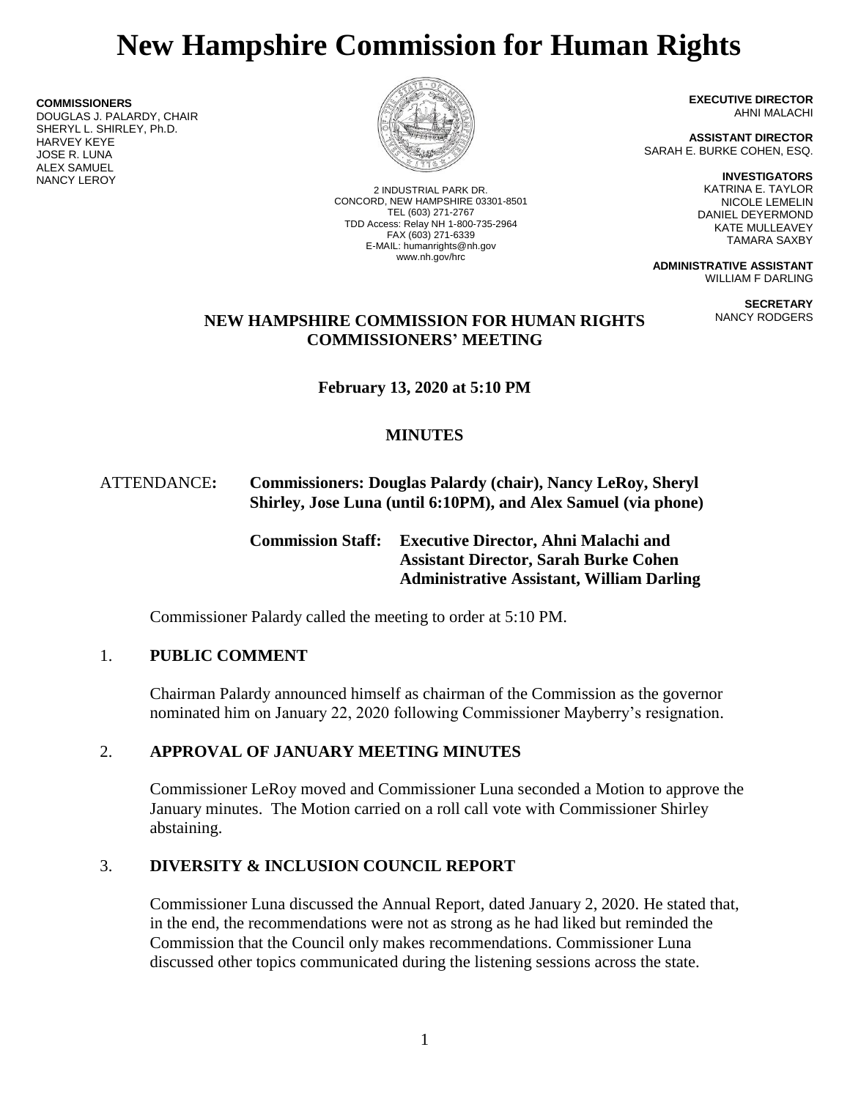# **New Hampshire Commission for Human Rights**

**COMMISSIONERS** DOUGLAS J. PALARDY, CHAIR SHERYL L. SHIRLEY, Ph.D. HARVEY KEYE JOSE R. LUNA ALEX SAMUEL NANCY LEROY



2 INDUSTRIAL PARK DR. CONCORD, NEW HAMPSHIRE 03301-8501 TEL (603) 271-2767 TDD Access: Relay NH 1-800-735-2964 FAX (603) 271-6339 E-MAIL: humanrights@nh.gov www.nh.gov/hrc

**EXECUTIVE DIRECTOR** AHNI MALACHI

**ASSISTANT DIRECTOR** SARAH E. BURKE COHEN, ESQ.

> **INVESTIGATORS** KATRINA E. TAYLOR NICOLE LEMELIN DANIEL DEYERMOND KATE MULLEAVEY TAMARA SAXBY

**ADMINISTRATIVE ASSISTANT** WILLIAM F DARLING

> **SECRETARY** NANCY RODGERS

## **NEW HAMPSHIRE COMMISSION FOR HUMAN RIGHTS COMMISSIONERS' MEETING**

**February 13, 2020 at 5:10 PM**

# **MINUTES**

# ATTENDANCE**: Commissioners: Douglas Palardy (chair), Nancy LeRoy, Sheryl Shirley, Jose Luna (until 6:10PM), and Alex Samuel (via phone)**

**Commission Staff: Executive Director, Ahni Malachi and Assistant Director, Sarah Burke Cohen Administrative Assistant, William Darling**

Commissioner Palardy called the meeting to order at 5:10 PM.

# 1. **PUBLIC COMMENT**

Chairman Palardy announced himself as chairman of the Commission as the governor nominated him on January 22, 2020 following Commissioner Mayberry's resignation.

# 2. **APPROVAL OF JANUARY MEETING MINUTES**

Commissioner LeRoy moved and Commissioner Luna seconded a Motion to approve the January minutes. The Motion carried on a roll call vote with Commissioner Shirley abstaining.

# 3. **DIVERSITY & INCLUSION COUNCIL REPORT**

Commissioner Luna discussed the Annual Report, dated January 2, 2020. He stated that, in the end, the recommendations were not as strong as he had liked but reminded the Commission that the Council only makes recommendations. Commissioner Luna discussed other topics communicated during the listening sessions across the state.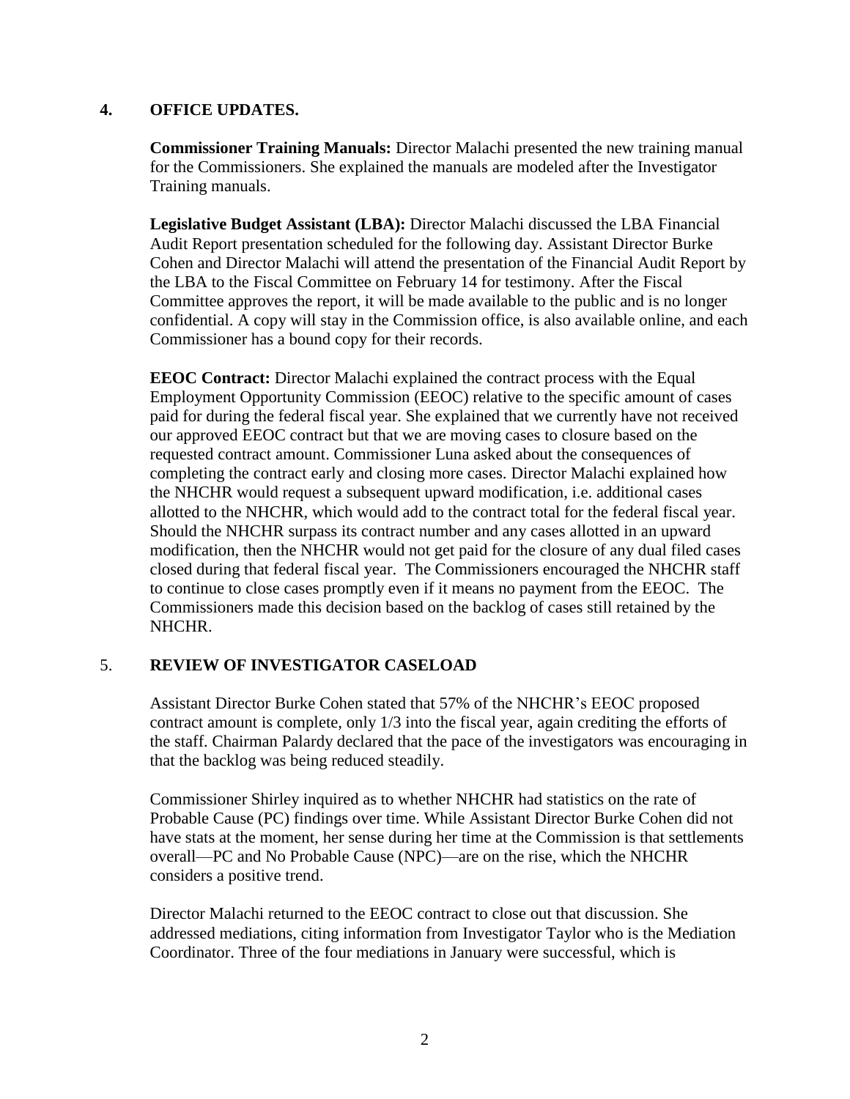#### **4. OFFICE UPDATES.**

**Commissioner Training Manuals:** Director Malachi presented the new training manual for the Commissioners. She explained the manuals are modeled after the Investigator Training manuals.

**Legislative Budget Assistant (LBA):** Director Malachi discussed the LBA Financial Audit Report presentation scheduled for the following day. Assistant Director Burke Cohen and Director Malachi will attend the presentation of the Financial Audit Report by the LBA to the Fiscal Committee on February 14 for testimony. After the Fiscal Committee approves the report, it will be made available to the public and is no longer confidential. A copy will stay in the Commission office, is also available online, and each Commissioner has a bound copy for their records.

**EEOC Contract:** Director Malachi explained the contract process with the Equal Employment Opportunity Commission (EEOC) relative to the specific amount of cases paid for during the federal fiscal year. She explained that we currently have not received our approved EEOC contract but that we are moving cases to closure based on the requested contract amount. Commissioner Luna asked about the consequences of completing the contract early and closing more cases. Director Malachi explained how the NHCHR would request a subsequent upward modification, i.e. additional cases allotted to the NHCHR, which would add to the contract total for the federal fiscal year. Should the NHCHR surpass its contract number and any cases allotted in an upward modification, then the NHCHR would not get paid for the closure of any dual filed cases closed during that federal fiscal year. The Commissioners encouraged the NHCHR staff to continue to close cases promptly even if it means no payment from the EEOC. The Commissioners made this decision based on the backlog of cases still retained by the NHCHR.

## 5. **REVIEW OF INVESTIGATOR CASELOAD**

Assistant Director Burke Cohen stated that 57% of the NHCHR's EEOC proposed contract amount is complete, only 1/3 into the fiscal year, again crediting the efforts of the staff. Chairman Palardy declared that the pace of the investigators was encouraging in that the backlog was being reduced steadily.

Commissioner Shirley inquired as to whether NHCHR had statistics on the rate of Probable Cause (PC) findings over time. While Assistant Director Burke Cohen did not have stats at the moment, her sense during her time at the Commission is that settlements overall—PC and No Probable Cause (NPC)—are on the rise, which the NHCHR considers a positive trend.

Director Malachi returned to the EEOC contract to close out that discussion. She addressed mediations, citing information from Investigator Taylor who is the Mediation Coordinator. Three of the four mediations in January were successful, which is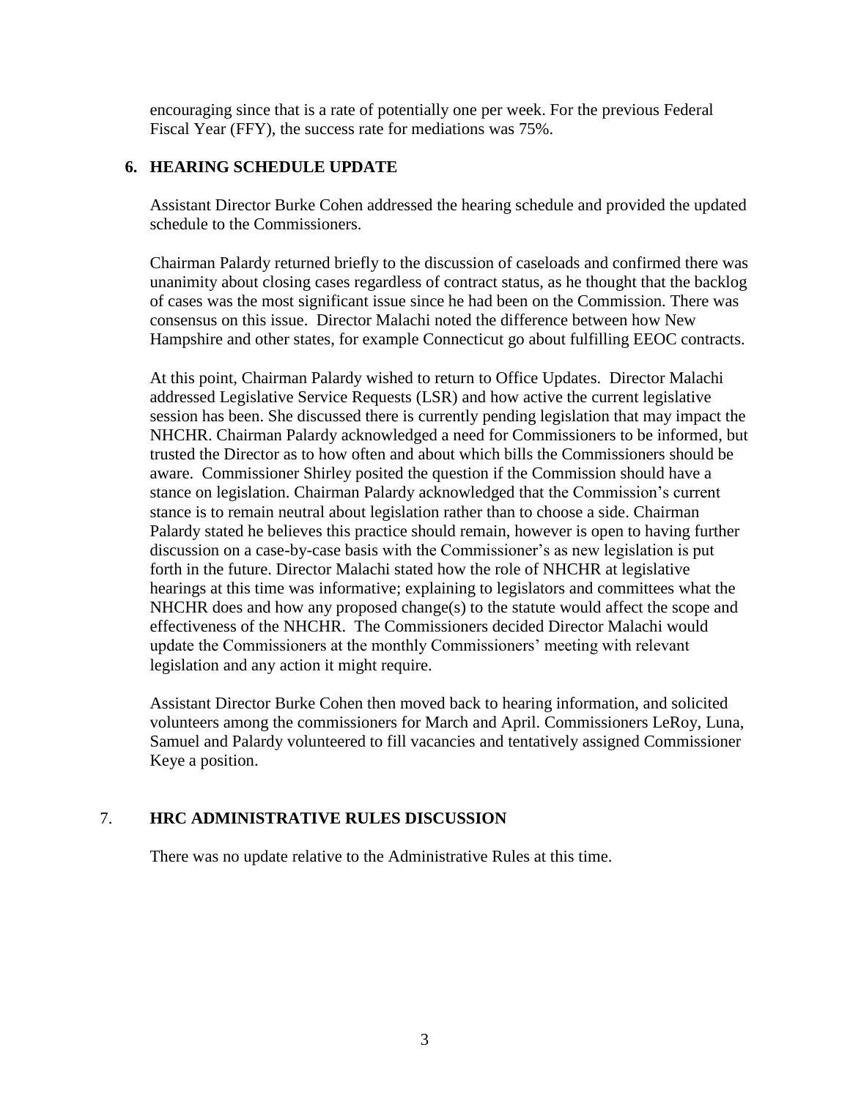encouraging since that is a rate of potentially one per week. For the previous Federal Fiscal Year (FFY), the success rate for mediations was 75%.

### **6. HEARING SCHEDULE UPDATE**

Assistant Director Burke Cohen addressed the hearing schedule and provided the updated schedule to the Commissioners.

Chairman Palardy returned briefly to the discussion of caseloads and confirmed there was unanimity about closing cases regardless of contract status, as he thought that the backlog of cases was the most significant issue since he had been on the Commission. There was consensus on this issue. Director Malachi noted the difference between how New Hampshire and other states, for example Connecticut go about fulfilling EEOC contracts.

At this point, Chairman Palardy wished to return to Office Updates. Director Malachi addressed Legislative Service Requests (LSR) and how active the current legislative session has been. She discussed there is currently pending legislation that may impact the NHCHR. Chairman Palardy acknowledged a need for Commissioners to be informed, but trusted the Director as to how often and about which bills the Commissioners should be aware. Commissioner Shirley posited the question if the Commission should have a stance on legislation. Chairman Palardy acknowledged that the Commission's current stance is to remain neutral about legislation rather than to choose a side. Chairman Palardy stated he believes this practice should remain, however is open to having further discussion on a case-by-case basis with the Commissioner's as new legislation is put forth in the future. Director Malachi stated how the role of NHCHR at legislative hearings at this time was informative; explaining to legislators and committees what the NHCHR does and how any proposed change(s) to the statute would affect the scope and effectiveness of the NHCHR. The Commissioners decided Director Malachi would update the Commissioners at the monthly Commissioners' meeting with relevant legislation and any action it might require.

Assistant Director Burke Cohen then moved back to hearing information, and solicited volunteers among the commissioners for March and April. Commissioners LeRoy, Luna, Samuel and Palardy volunteered to fill vacancies and tentatively assigned Commissioner Keye a position.

#### 7. **HRC ADMINISTRATIVE RULES DISCUSSION**

There was no update relative to the Administrative Rules at this time.